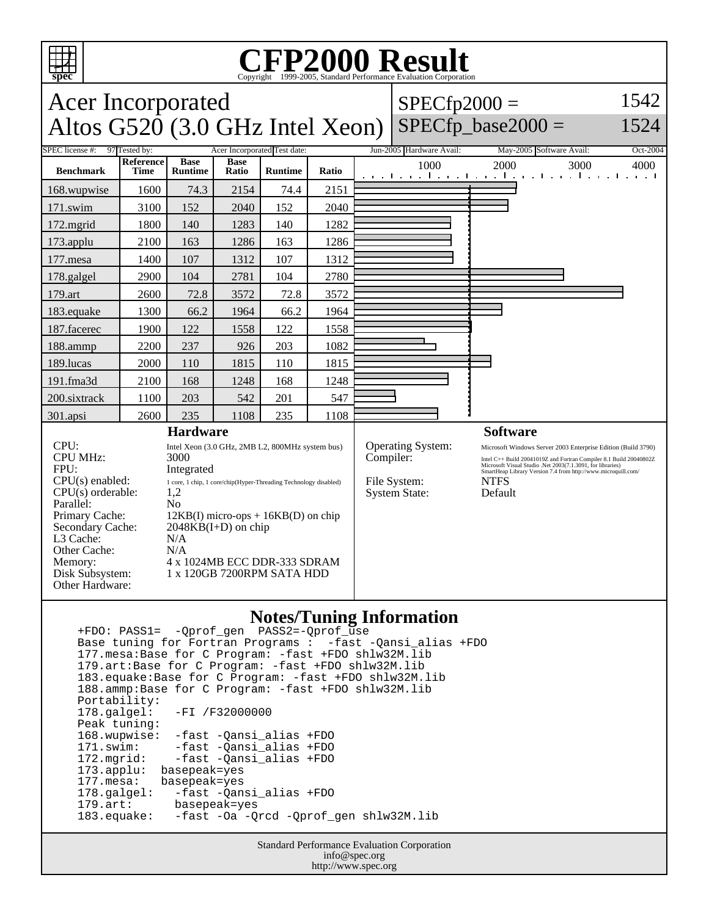

## C<sub>opyright</sub> ©1999-2005, Standard Performance Evaluation Corporation

| <b>Acer Incorporated</b><br>Altos $G520$ (3.0 GHz Intel Xeon)                                                                                                                                                                                                                       |                          |                               |                                                                                                                                                                                                                                                       |                |       |           | $SPECfp2000 =$                                            | $SPECfp\_base2000 =$                                                                                                                                                                                                                                                                         | 1542<br>1524                        |
|-------------------------------------------------------------------------------------------------------------------------------------------------------------------------------------------------------------------------------------------------------------------------------------|--------------------------|-------------------------------|-------------------------------------------------------------------------------------------------------------------------------------------------------------------------------------------------------------------------------------------------------|----------------|-------|-----------|-----------------------------------------------------------|----------------------------------------------------------------------------------------------------------------------------------------------------------------------------------------------------------------------------------------------------------------------------------------------|-------------------------------------|
| SPEC license #:<br>97 Tested by:<br>Acer Incorporated Test date:                                                                                                                                                                                                                    |                          |                               |                                                                                                                                                                                                                                                       |                |       |           | Jun-2005 Hardware Avail:                                  | May-2005 Software Avail:                                                                                                                                                                                                                                                                     | Oct-2004                            |
| <b>Benchmark</b>                                                                                                                                                                                                                                                                    | Reference<br><b>Time</b> | <b>Base</b><br><b>Runtime</b> | <b>Base</b><br>Ratio                                                                                                                                                                                                                                  | <b>Runtime</b> | Ratio |           | 1000                                                      | 2000<br>3000<br>والمتوجا وبالمتواط والمتواطن<br>. . 1                                                                                                                                                                                                                                        | 4000<br>$\sim$ $\sim$ $\sim$ $\sim$ |
| 168.wupwise                                                                                                                                                                                                                                                                         | 1600                     | 74.3                          | 2154                                                                                                                                                                                                                                                  | 74.4           | 2151  |           |                                                           |                                                                                                                                                                                                                                                                                              |                                     |
| 171.swim                                                                                                                                                                                                                                                                            | 3100                     | 152                           | 2040                                                                                                                                                                                                                                                  | 152            | 2040  |           |                                                           |                                                                                                                                                                                                                                                                                              |                                     |
| 172.mgrid                                                                                                                                                                                                                                                                           | 1800                     | 140                           | 1283                                                                                                                                                                                                                                                  | 140            | 1282  |           |                                                           |                                                                                                                                                                                                                                                                                              |                                     |
| 173.applu                                                                                                                                                                                                                                                                           | 2100                     | 163                           | 1286                                                                                                                                                                                                                                                  | 163            | 1286  |           |                                                           |                                                                                                                                                                                                                                                                                              |                                     |
| 177.mesa                                                                                                                                                                                                                                                                            | 1400                     | 107                           | 1312                                                                                                                                                                                                                                                  | 107            | 1312  |           |                                                           |                                                                                                                                                                                                                                                                                              |                                     |
| 178.galgel                                                                                                                                                                                                                                                                          | 2900                     | 104                           | 2781                                                                                                                                                                                                                                                  | 104            | 2780  |           |                                                           |                                                                                                                                                                                                                                                                                              |                                     |
| 179.art                                                                                                                                                                                                                                                                             | 2600                     | 72.8                          | 3572                                                                                                                                                                                                                                                  | 72.8           | 3572  |           |                                                           |                                                                                                                                                                                                                                                                                              |                                     |
| 183.equake                                                                                                                                                                                                                                                                          | 1300                     | 66.2                          | 1964                                                                                                                                                                                                                                                  | 66.2           | 1964  |           |                                                           |                                                                                                                                                                                                                                                                                              |                                     |
| 187.facerec                                                                                                                                                                                                                                                                         | 1900                     | 122                           | 1558                                                                                                                                                                                                                                                  | 122            | 1558  |           |                                                           |                                                                                                                                                                                                                                                                                              |                                     |
| 188.ammp                                                                                                                                                                                                                                                                            | 2200                     | 237                           | 926                                                                                                                                                                                                                                                   | 203            | 1082  |           |                                                           |                                                                                                                                                                                                                                                                                              |                                     |
| 189.lucas                                                                                                                                                                                                                                                                           | 2000                     | 110                           | 1815                                                                                                                                                                                                                                                  | 110            | 1815  |           |                                                           |                                                                                                                                                                                                                                                                                              |                                     |
| 191.fma3d                                                                                                                                                                                                                                                                           | 2100                     | 168                           | 1248                                                                                                                                                                                                                                                  | 168            | 1248  |           |                                                           |                                                                                                                                                                                                                                                                                              |                                     |
| 200.sixtrack                                                                                                                                                                                                                                                                        | 1100                     | 203                           | 542                                                                                                                                                                                                                                                   | 201            | 547   |           |                                                           |                                                                                                                                                                                                                                                                                              |                                     |
| 301.apsi                                                                                                                                                                                                                                                                            | 2600                     | 235                           | 1108                                                                                                                                                                                                                                                  | 235            | 1108  |           |                                                           |                                                                                                                                                                                                                                                                                              |                                     |
| <b>Hardware</b>                                                                                                                                                                                                                                                                     |                          |                               |                                                                                                                                                                                                                                                       |                |       |           |                                                           | <b>Software</b>                                                                                                                                                                                                                                                                              |                                     |
| CPU:<br><b>CPU MHz:</b><br>3000<br>FPU:<br>Integrated<br>CPU(s) enabled:<br>$CPU(s)$ orderable:<br>1,2<br>Parallel:<br>N <sub>0</sub><br>Primary Cache:<br>Secondary Cache:<br>L <sub>3</sub> Cache:<br>N/A<br>Other Cache:<br>N/A<br>Memory:<br>Disk Subsystem:<br>Other Hardware: |                          |                               | Intel Xeon (3.0 GHz, 2MB L2, 800MHz system bus)<br>1 core, 1 chip, 1 core/chip(Hyper-Threading Technology disabled)<br>$12KB(I)$ micro-ops + $16KB(D)$ on chip<br>$2048KB(I+D)$ on chip<br>4 x 1024MB ECC DDR-333 SDRAM<br>1 x 120GB 7200RPM SATA HDD |                |       | Compiler: | Operating System:<br>File System:<br><b>System State:</b> | Microsoft Windows Server 2003 Enterprise Edition (Build 3790)<br>Intel C++ Build 20041019Z and Fortran Compiler 8.1 Build 20040802Z<br>Microsoft Visual Studio .Net 2003(7.1.3091, for libraries)<br>SmartHeap Library Version 7.4 from http://www.microquill.com/<br><b>NTFS</b><br>Default |                                     |

## **Notes/Tuning Information**

 +FDO: PASS1= -Qprof\_gen PASS2=-Qprof\_use Base tuning for Fortran Programs : -fast -Qansi\_alias +FDO 177.mesa:Base for C Program: -fast +FDO shlw32M.lib 179.art:Base for C Program: -fast +FDO shlw32M.lib 183.equake:Base for C Program: -fast +FDO shlw32M.lib 188.ammp:Base for C Program: -fast +FDO shlw32M.lib Portability:<br>178.galgel: -FI /F32000000 Peak tuning: 168.wupwise: -fast -Qansi\_alias +FDO 171.swim: -fast -Qansi\_alias +FDO 172.mgrid: -fast -Qansi\_alias +FDO 173.applu: basepeak=yes<br>177.mesa: basepeak=yes 177.mesa: basepeak=yes<br>178.galgel: -fast -Qan -fast -Qansi\_alias +FDO 179.art: basepeak=yes<br>183.equake: -fast -Oa -Q -fast -Oa -Qrcd -Qprof\_gen shlw32M.lib

> Standard Performance Evaluation Corporation info@spec.org http://www.spec.org